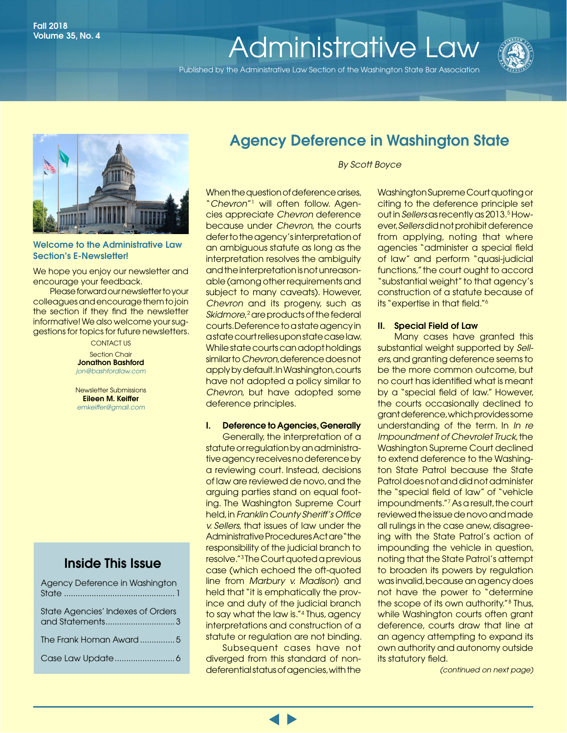# Volume 35, No. 4<br>**[Administrative Law](http://www.wsba.org/lawyers/groups/administrativelaw/adminlaw.htm)**

Published by the Administrative Law Section of the Washington State Bar Association





#### Welcome to the Administrative Law Section's E-Newsletter!

We hope you enjoy our newsletter and encourage your feedback.

Please forward our newsletter to your colleagues and encourage them to join the section if they find the newsletter informative! We also welcome your suggestions for topics for future newsletters.

> CONTACT US Section Chair Jonathon Bashford *j[on@bashford](https://www.mywsba.org/PersonifyEbusiness/LegalDirectory/LegalProfile.aspx?Usr_ID=39299)law.com*

> Newsletter Submissions Eileen M. Keiffer *emkeiffer@gmail.com*

### Inside This Issue

| Agency Deference in Washington    |
|-----------------------------------|
| State Agencies' Indexes of Orders |
| The Frank Homan Award5            |
|                                   |

### Agency Deference in Washington State

*By Scott Boyce*

When the question of deference arises, "*Chevron*"1 will often follow. Agencies appreciate *Chevron* deference because under *Chevron*, the courts defer to the agency's interpretation of an ambiguous statute as long as the interpretation resolves the ambiguity and the interpretation is not unreasonable (among other requirements and subject to many caveats). However, *Chevron* and its progeny, such as *Skidmore,<sup>2</sup>* are products of the federal courts. Deference to a state agency in a state court relies upon state case law. While state courts can adopt holdings similar to *Chevron*, deference does not apply by default. In Washington, courts have not adopted a policy similar to *Chevron*, but have adopted some deference principles.

#### I. Deference to Agencies, Generally

Generally, the interpretation of a statute or regulation by an administrative agency receives no deference by a reviewing court. Instead, decisions of law are reviewed de novo, and the arguing parties stand on equal footing. The Washington Supreme Court held, in *Franklin County Sheriff's Office v. Sellers*, that issues of law under the Administrative Procedures Act are "the responsibility of the judicial branch to resolve."3 The Court quoted a previous case (which echoed the oft-quoted line from *Marbury v. Madison*) and held that "it is emphatically the province and duty of the judicial branch to say what the law is."4 Thus, agency interpretations and construction of a statute or regulation are not binding.

Subsequent cases have not diverged from this standard of nondeferential status of agencies, with the

Washington Supreme Court quoting or citing to the deference principle set out in *Sellers* as recently as 2013.<sup>5</sup> However, *Sellers* did not prohibit deference from applying, noting that where agencies "administer a special field of law" and perform "quasi-judicial functions," the court ought to accord "substantial weight" to that agency's construction of a statute because of its "expertise in that field."6

#### II. Special Field of Law

Many cases have granted this substantial weight supported by *Sellers*, and granting deference seems to be the more common outcome, but no court has identified what is meant by a "special field of law." However, the courts occasionally declined to grant deference, which provides some understanding of the term. In *In re Impoundment of Chevrolet Truck*, the Washington Supreme Court declined to extend deference to the Washington State Patrol because the State Patrol does not and did not administer the "special field of law" of "vehicle impoundments."7As a result, the court reviewed the issue de novo and made all rulings in the case anew, disagreeing with the State Patrol's action of impounding the vehicle in question, noting that the State Patrol's attempt to broaden its powers by regulation was invalid, because an agency does not have the power to "determine the scope of its own authority." 8 Thus, while Washington courts often grant deference, courts draw that line at an agency attempting to expand its own authority and autonomy outside its statutory field.

*(continued on next page)*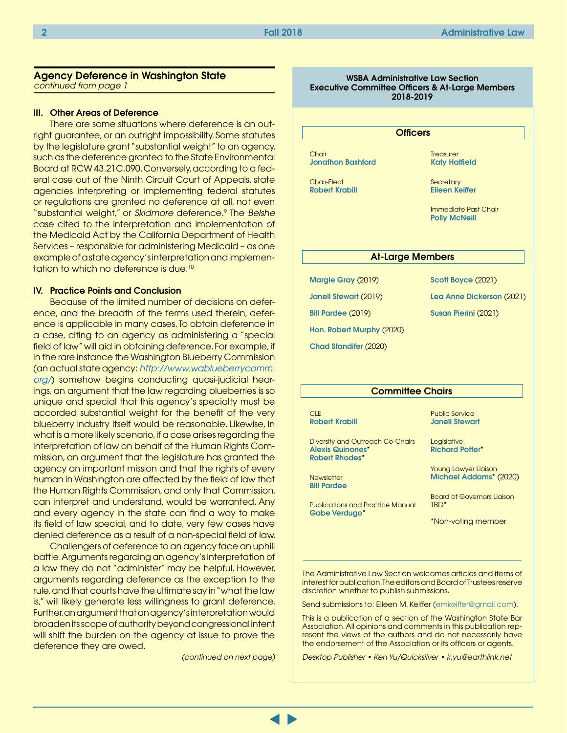#### Agency Deference in Washington State *continued from page 1*

### III. Other Areas of Deference

There are some situations where deference is an outright guarantee, or an outright impossibility. Some statutes by the legislature grant "substantial weight" to an agency, such as the deference granted to the State Environmental Board at RCW 43.21C.090. Conversely, according to a federal case out of the Ninth Circuit Court of Appeals, state agencies interpreting or implementing federal statutes or regulations are granted no deference at all, not even "substantial weight," or *Skidmore* deference.9 The *Belshe* case cited to the interpretation and implementation of the Medicaid Act by the California Department of Health Services – responsible for administering Medicaid – as one example of a state agency's interpretation and implementation to which no deference is due.<sup>10</sup>

#### IV. Practice Points and Conclusion

Because of the limited number of decisions on deference, and the breadth of the terms used therein, deference is applicable in many cases. To obtain deference in a case, citing to an agency as administering a "special field of law" will aid in obtaining deference. For example, if in the rare instance the Washington Blueberry Commission (an actual state agency: *[http://www.wablueberrycomm.](http://www.wablueberrycomm.org/) [org/](http://www.wablueberrycomm.org/)*) somehow begins conducting quasi-judicial hearings, an argument that the law regarding blueberries is so unique and special that this agency's specialty must be accorded substantial weight for the benefit of the very blueberry industry itself would be reasonable. Likewise, in what is a more likely scenario, if a case arises regarding the interpretation of law on behalf of the Human Rights Commission, an argument that the legislature has granted the agency an important mission and that the rights of every human in Washington are affected by the field of law that the Human Rights Commission, and only that Commission, can interpret and understand, would be warranted. Any and every agency in the state can find a way to make its field of law special, and to date, very few cases have denied deference as a result of a non-special field of law.

Challengers of deference to an agency face an uphill battle. Arguments regarding an agency's interpretation of a law they do not "administer" may be helpful. However, arguments regarding deference as the exception to the rule, and that courts have the ultimate say in "what the law is," will likely generate less willingness to grant deference. Further, an argument that an agency's interpretation would broaden its scope of authority beyond congressional intent will shift the burden on the agency at issue to prove the deference they are owed.

*(continued on next page)* 

WSBA Administrative Law Section Executive Committee Officers & At-Large Members 2018-2019

#### **Officers**

**Chair** [Jonathon Bashford](https://www.mywsba.org/PersonifyEbusiness/LegalDirectory/LegalProfile.aspx?Usr_ID=39299)

Chair-Elect [Robert Krabill](https://www.mywsba.org/PersonifyEbusiness/LegalDirectory/LegalProfile.aspx?Usr_ID=000000031694) **Treasurer** [Katy Hatfield](https://www.mywsba.org/PersonifyEbusiness/LegalDirectory/LegalProfile.aspx?Usr_ID=000000039906)

**Secretary** [Eileen Keiffer](https://www.mywsba.org/PersonifyEbusiness/LegalDirectory/LegalProfile.aspx?Usr_ID=000000051598)

Immediate Past Chair [Polly McNeill](https://www.mywsba.org/PersonifyEbusiness/LegalDirectory/LegalProfile.aspx?Usr_ID=000000017437)

#### At-Large Members

[Margie Gray](https://www.mywsba.org/PersonifyEbusiness/LegalDirectory/LegalProfile.aspx?Usr_ID=9607) (2019) [Janell Stewart](https://www.mywsba.org/PersonifyEbusiness/LegalDirectory/LegalProfile.aspx?Usr_ID=35211) (2019) [Bill Pardee](https://www.mywsba.org/PersonifyEbusiness/LegalDirectory/LegalProfile.aspx?Usr_ID=000000031644) (2019) [Hon. Robert Murphy](https://www.mywsba.org/PersonifyEbusiness/LegalDirectory/LegalProfile.aspx?Usr_ID=47273) (2020) [Chad Standifer](https://www.mywsba.org/PersonifyEbusiness/LegalDirectory/LegalProfile.aspx?Usr_ID=29724) (2020)

[Scott Boyce](https://www.mywsba.org/PersonifyEbusiness/LegalDirectory/LegalProfile.aspx?Usr_ID=000000046420) (2021)

[Lea Anne Dickerson](https://www.mywsba.org/PersonifyEbusiness/LegalDirectory/LegalProfile.aspx?Usr_ID=000000047216) (2021)

[Susan Pierini](https://www.mywsba.org/PersonifyEbusiness/LegalDirectory/LegalProfile.aspx?Usr_ID=000000017714) (2021)

#### **Committee Chairs**

**CLE** [Robert Krabill](https://www.mywsba.org/PersonifyEbusiness/LegalDirectory/LegalProfile.aspx?Usr_ID=000000031694)

Diversity and Outreach Co-Chairs [Alexis Quinones](https://www.mywsba.org/PersonifyEbusiness/LegalDirectory/LegalProfile.aspx?Usr_ID=000000047222)\* [Robert Rhodes](https://www.mywsba.org/PersonifyEbusiness/LegalDirectory/LegalProfile.aspx?Usr_ID=000000031089)\*

**Newsletter** [Bill Pardee](https://www.mywsba.org/PersonifyEbusiness/LegalDirectory/LegalProfile.aspx?Usr_ID=000000031644)

Publications and Practice Manual [Gabe Verdugo](https://www.mywsba.org/PersonifyEbusiness/LegalDirectory/LegalProfile.aspx?Usr_ID=44154)\*

Public Service [Janell Stewart](https://www.mywsba.org/PersonifyEbusiness/LegalDirectory/LegalProfile.aspx?Usr_ID=35211)

Legislative [Richard Potter](https://www.mywsba.org/PersonifyEbusiness/LegalDirectory/LegalProfile.aspx?Usr_ID=19196)\*

Young Lawyer Liaison [Michael Addams\\*](https://www.mywsba.org/PersonifyEbusiness/LegalDirectory/LegalProfile.aspx?Usr_ID=000000047799) (2020)

Board of Governors Liaison TBD\*

\*Non-voting member

The Administrative Law Section welcomes articles and items of interest for publication. The editors and Board of Trustees reserve discretion whether to publish submissions.

Send submissions to: Eileen M. Keiffer ([emkeiffer@gmail.com\)](mailto:emkeiffer@gmail.com).

This is a publication of a section of the Washington State Bar Association. All opinions and comments in this publication represent the views of the authors and do not necessarily have the endorsement of the Association or its officers or agents.

*Desktop Publisher • Ken Yu/Quicksilver • k.yu@earthlink.net*

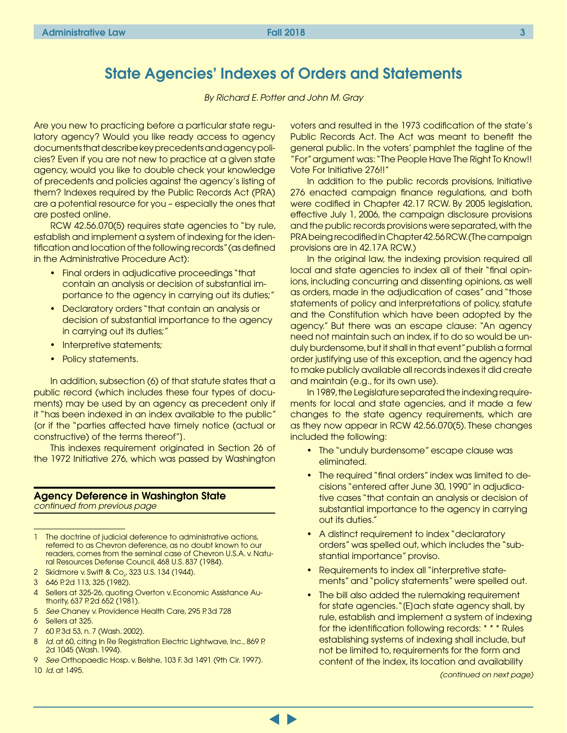### <span id="page-2-0"></span>State Agencies' Indexes of Orders and Statements

*By Richard E. Potter and John M. Gray*

Are you new to practicing before a particular state regulatory agency? Would you like ready access to agency documents that describe key precedents and agency policies? Even if you are not new to practice at a given state agency, would you like to double check your knowledge of precedents and policies against the agency's listing of them? Indexes required by the Public Records Act (PRA) are a potential resource for you – especially the ones that are posted online.

RCW 42.56.070(5) requires state agencies to "by rule, establish and implement a system of indexing for the identification and location of the following records" (as defined in the Administrative Procedure Act):

- Final orders in adjudicative proceedings "that contain an analysis or decision of substantial importance to the agency in carrying out its duties;"
- Declaratory orders "that contain an analysis or decision of substantial importance to the agency in carrying out its duties;"
- Interpretive statements;
- Policy statements.

In addition, subsection (6) of that statute states that a public record (which includes these four types of documents) may be used by an agency as precedent only if it "has been indexed in an index available to the public" [or if the "parties affected have timely notice (actual or constructive) of the terms thereof"].

This indexes requirement originated in Section 26 of the 1972 Initiative 276, which was passed by Washington

### Agency Deference in Washington State

*continued from previous page*

1 The doctrine of judicial deference to administrative actions, referred to as Chevron deference, as no doubt known to our readers, comes from the seminal case of Chevron U.S.A. v. Natural Resources Defense Council, 468 U.S. 837 (1984).

- 2 Skidmore v. Swift & Co<sub>2</sub>, 323 U.S. 134 (1944).
- 3 646 P. 2d 113, 325 (1982).
- 4 Sellers at 325-26, quoting Overton v. Economic Assistance Authority, 637 P. 2d 652 (1981).
- 5 *See* Chaney v. Providence Health Care, 295 P. 3d 728
- 6 Sellers at 325.
- 7 60 P. 3d 53, n. 7 (Wash. 2002).
- 8 *Id*. at 60, citing In Re Registration Electric Lightwave, Inc., 869 P. 2d 1045 (Wash. 1994).
- 9 *See* Orthopaedic Hosp. v. Belshe, 103 F. 3d 1491 (9th Cir. 1997).
- 10 *Id*. at 1495.

voters and resulted in the 1973 codification of the state's Public Records Act. The Act was meant to benefit the general public. In the voters' pamphlet the tagline of the "For" argument was: "The People Have The Right To Know!! Vote For Initiative 276!!"

In addition to the public records provisions, Initiative 276 enacted campaign finance regulations, and both were codified in Chapter 42.17 RCW. By 2005 legislation, effective July 1, 2006, the campaign disclosure provisions and the public records provisions were separated, with the PRA being recodified in Chapter 42.56 RCW. (The campaign provisions are in 42.17A RCW.)

In the original law, the indexing provision required all local and state agencies to index all of their "final opinions, including concurring and dissenting opinions, as well as orders, made in the adjudication of cases" and "those statements of policy and interpretations of policy, statute and the Constitution which have been adopted by the agency." But there was an escape clause: "An agency need not maintain such an index, if to do so would be unduly burdensome, but it shall in that event" publish a formal order justifying use of this exception, and the agency had to make publicly available all records indexes it did create and maintain (e.g., for its own use).

In 1989, the Legislature separated the indexing requirements for local and state agencies, and it made a few changes to the state agency requirements, which are as they now appear in RCW 42.56.070(5). These changes included the following:

- The "unduly burdensome" escape clause was eliminated.
- The required "final orders" index was limited to decisions "entered after June 30, 1990" in adjudicative cases "that contain an analysis or decision of substantial importance to the agency in carrying out its duties."
- A distinct requirement to index "declaratory orders" was spelled out, which includes the "substantial importance" proviso.
- Requirements to index all "interpretive statements" and "policy statements" were spelled out.
- The bill also added the rulemaking requirement for state agencies."[E]ach state agency shall, by rule, establish and implement a system of indexing for the identification following records: \* \* \* Rules establishing systems of indexing shall include, but not be limited to, requirements for the form and content of the index, its location and availability

*(continued on next page)*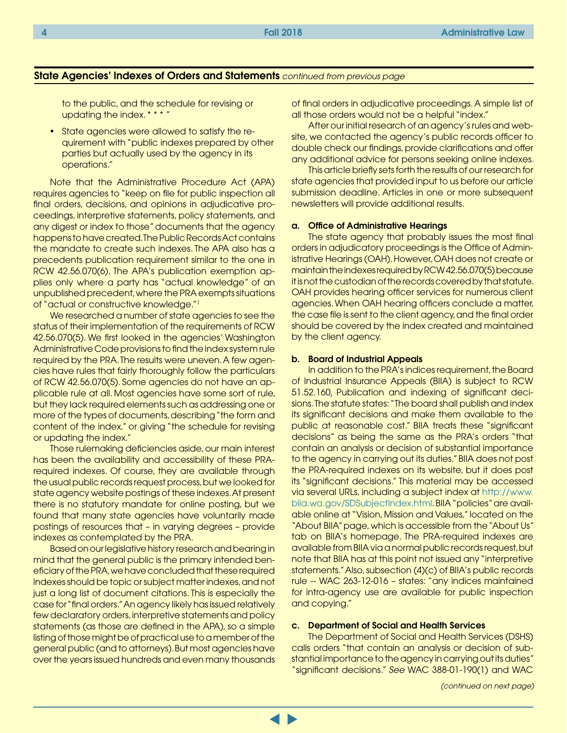#### State Agencies' Indexes of Orders and Statements *continued from previous page*

to the public, and the schedule for revising or updating the index. \* \* \* "

• State agencies were allowed to satisfy the requirement with "public indexes prepared by other parties but actually used by the agency in its operations."

Note that the Administrative Procedure Act (APA) requires agencies to "keep on file for public inspection all final orders, decisions, and opinions in adjudicative proceedings, interpretive statements, policy statements, and any digest or index to those" documents that the agency happens to have created. The Public Records Act contains the mandate to create such indexes. The APA also has a precedents publication requirement similar to the one in RCW 42.56.070(6). The APA's publication exemption applies only where a party has "actual knowledge" of an unpublished precedent, where the PRA exempts situations of "actual or constructive knowledge."1

We researched a number of state agencies to see the status of their implementation of the requirements of RCW 42.56.070(5). We first looked in the agencies' Washington Administrative Code provisions to find the index system rule required by the PRA. The results were uneven. A few agencies have rules that fairly thoroughly follow the particulars of RCW 42.56.070(5). Some agencies do not have an applicable rule at all. Most agencies have some sort of rule, but they lack required elements such as addressing one or more of the types of documents, describing "the form and content of the index," or giving "the schedule for revising or updating the index."

Those rulemaking deficiencies aside, our main interest has been the availability and accessibility of these PRArequired indexes. Of course, they are available through the usual public records request process, but we looked for state agency website postings of these indexes. At present there is no statutory mandate for online posting, but we found that many state agencies have voluntarily made postings of resources that – in varying degrees – provide indexes as contemplated by the PRA.

Based on our legislative history research and bearing in mind that the general public is the primary intended beneficiary of the PRA, we have concluded that these required indexes should be topic or subject matter indexes, and not just a long list of document citations. This is especially the case for "final orders." An agency likely has issued relatively few declaratory orders, interpretive statements and policy statements (as those are defined in the APA), so a simple listing of those might be of practical use to a member of the general public (and to attorneys). But most agencies have over the years issued hundreds and even many thousands

of final orders in adjudicative proceedings. A simple list of all those orders would not be a helpful "index."

After our initial research of an agency's rules and website, we contacted the agency's public records officer to double check our findings, provide clarifications and offer any additional advice for persons seeking online indexes.

This article briefly sets forth the results of our research for state agencies that provided input to us before our article submission deadline. Articles in one or more subsequent newsletters will provide additional results.

#### a. Office of Administrative Hearings

The state agency that probably issues the most final orders in adjudicatory proceedings is the Office of Administrative Hearings (OAH). However, OAH does not create or maintain the indexes required by RCW 42.56.070(5) because it is not the custodian of the records covered by that statute. OAH provides hearing officer services for numerous client agencies. When OAH hearing officers conclude a matter, the case file is sent to the client agency, and the final order should be covered by the index created and maintained by the client agency.

#### b. Board of Industrial Appeals

In addition to the PRA's indices requirement, the Board of Industrial Insurance Appeals (BIIA) is subject to RCW 51.52.160, Publication and indexing of significant decisions. The statute states: "The board shall publish and index its significant decisions and make them available to the public at reasonable cost." BIIA treats these "significant decisions" as being the same as the PRA's orders "that contain an analysis or decision of substantial importance to the agency in carrying out its duties." BIIA does not post the PRA-required indexes on its website, but it does post its "significant decisions." This material may be accessed via several URLs, including a subject index at [http://www.](http://www.biia.wa.gov/SDSubjectIndex.html) [biia.wa.gov/SDSubjectIndex.html.](http://www.biia.wa.gov/SDSubjectIndex.html) BIIA "policies" are available online at "Vision, Mission and Values," located on the "About BIIA" page, which is accessible from the "About Us" tab on BIIA's homepage. The PRA-required indexes are available from BIIA via a normal public records request, but note that BIIA has at this point not issued any "interpretive statements." Also, subsection (4)(c) of BIIA's public records rule -- WAC 263-12-016 – states: "any indices maintained for intra-agency use are available for public inspection and copying."

#### c. Department of Social and Health Services

The Department of Social and Health Services (DSHS) calls orders "that contain an analysis or decision of substantial importance to the agency in carrying out its duties" "significant decisions." *See* WAC 388-01-190(1) and WAC

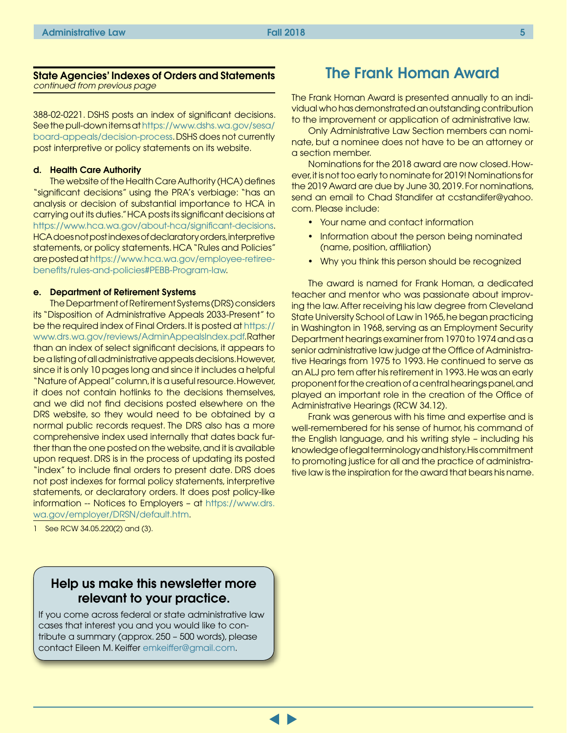<span id="page-4-0"></span>388-02-0221. DSHS posts an index of significant decisions. See the pull-down items at [https://www.dshs.wa.gov/sesa/](https://www.dshs.wa.gov/sesa/board-appeals/decision-process) [board-appeals/decision-process](https://www.dshs.wa.gov/sesa/board-appeals/decision-process). DSHS does not currently post interpretive or policy statements on its website.

#### d. Health Care Authority

The website of the Health Care Authority (HCA) defines "significant decisions" using the PRA's verbiage: "has an analysis or decision of substantial importance to HCA in carrying out its duties." HCA posts its significant decisions at <https://www.hca.wa.gov/about-hca/significant-decisions>. HCA does not post indexes of declaratory orders, interpretive statements, or policy statements. HCA "Rules and Policies" are posted at https://www.hca.wa.gov/employee-retireebenefits/rules-and-policies#PEBB-Program-law.

#### e. Department of Retirement Systems

The Department of Retirement Systems (DRS) considers its "Disposition of Administrative Appeals 2033-Present" to be the required index of Final Orders. It is posted at [https://](https://www.drs.wa.gov/reviews/AdminAppealsIndex.pdf) [www.drs.wa.gov/reviews/AdminAppealsIndex.pdf.](https://www.drs.wa.gov/reviews/AdminAppealsIndex.pdf) Rather than an index of select significant decisions, it appears to be a listing of all administrative appeals decisions. However, since it is only 10 pages long and since it includes a helpful "Nature of Appeal" column, it is a useful resource. However, it does not contain hotlinks to the decisions themselves, and we did not find decisions posted elsewhere on the DRS website, so they would need to be obtained by a normal public records request. The DRS also has a more comprehensive index used internally that dates back further than the one posted on the website, and it is available upon request. DRS is in the process of updating its posted "index" to include final orders to present date. DRS does not post indexes for formal policy statements, interpretive statements, or declaratory orders. It does post policy-like information -- Notices to Employers – at [https://www.drs.](https://www.drs.wa.gov/employer/DRSN/default.htm) [wa.gov/employer/DRSN/default.htm](https://www.drs.wa.gov/employer/DRSN/default.htm).

1 See RCW 34.05.220(2) and (3).

### The Frank Homan Award

The Frank Homan Award is presented annually to an individual who has demonstrated an outstanding contribution to the improvement or application of administrative law.

Only Administrative Law Section members can nominate, but a nominee does not have to be an attorney or a section member.

Nominations for the 2018 award are now closed. However, it is not too early to nominate for 2019! Nominations for the 2019 Award are due by June 30, 2019. For nominations, send an email to Chad Standifer at ccstandifer@yahoo. com. Please include:

- Your name and contact information
- Information about the person being nominated (name, position, affiliation)
- Why you think this person should be recognized

The award is named for Frank Homan, a dedicated teacher and mentor who was passionate about improving the law.After receiving his law degree from Cleveland State University School of Law in 1965, he began practicing in Washington in 1968, serving as an Employment Security Department hearings examiner from 1970 to 1974 and as a senior administrative law judge at the Office of Administrative Hearings from 1975 to 1993. He continued to serve as an ALJ pro tem after his retirement in 1993.He was an early proponent for the creation of a central hearings panel, and played an important role in the creation of the Office of Administrative Hearings (RCW 34.12).

Frank was generous with his time and expertise and is well-remembered for his sense of humor, his command of the English language, and his writing style – including his knowledge of legal terminology and history.His commitment to promoting justice for all and the practice of administrative law is the inspiration for the award that bears his name.

### Help us make this newsletter more relevant to your practice.

If you come across federal or state administrative law cases that interest you and you would like to contribute a summary (approx. 250 – 500 words), please contact Eileen M. Keiffer [emkeiffer@gmail.com.](mailto:emkeiffer@gmail.com)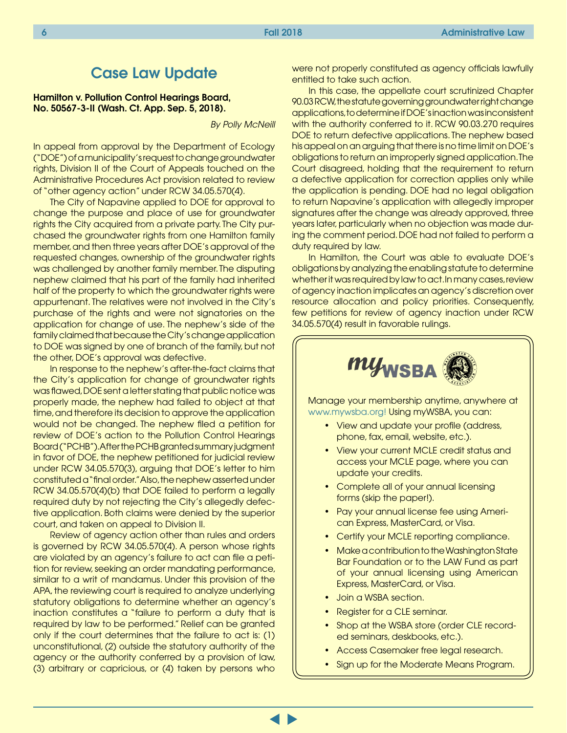### Case Law Update

<span id="page-5-0"></span>Hamilton v. Pollution Control Hearings Board, No. 50567-3-II (Wash. Ct. App. Sep. 5, 2018).

*By Polly McNeill*

In appeal from approval by the Department of Ecology ("DOE") of a municipality's request to change groundwater rights, Division II of the Court of Appeals touched on the Administrative Procedures Act provision related to review of "other agency action" under RCW 34.05.570(4).

The City of Napavine applied to DOE for approval to change the purpose and place of use for groundwater rights the City acquired from a private party. The City purchased the groundwater rights from one Hamilton family member, and then three years after DOE's approval of the requested changes, ownership of the groundwater rights was challenged by another family member. The disputing nephew claimed that his part of the family had inherited half of the property to which the groundwater rights were appurtenant. The relatives were not involved in the City's purchase of the rights and were not signatories on the application for change of use. The nephew's side of the family claimed that because the City's change application to DOE was signed by one of branch of the family, but not the other, DOE's approval was defective.

In response to the nephew's after-the-fact claims that the City's application for change of groundwater rights was flawed, DOE sent a letter stating that public notice was properly made, the nephew had failed to object at that time, and therefore its decision to approve the application would not be changed. The nephew filed a petition for review of DOE's action to the Pollution Control Hearings Board ("PCHB"). After the PCHB granted summary judgment in favor of DOE, the nephew petitioned for judicial review under RCW 34.05.570(3), arguing that DOE's letter to him constituted a "final order." Also, the nephew asserted under RCW 34.05.570(4)(b) that DOE failed to perform a legally required duty by not rejecting the City's allegedly defective application. Both claims were denied by the superior court, and taken on appeal to Division II.

Review of agency action other than rules and orders is governed by RCW 34.05.570(4). A person whose rights are violated by an agency's failure to act can file a petition for review, seeking an order mandating performance, similar to a writ of mandamus. Under this provision of the APA, the reviewing court is required to analyze underlying statutory obligations to determine whether an agency's inaction constitutes a "failure to perform a duty that is required by law to be performed." Relief can be granted only if the court determines that the failure to act is: (1) unconstitutional, (2) outside the statutory authority of the agency or the authority conferred by a provision of law, (3) arbitrary or capricious, or (4) taken by persons who

were not properly constituted as agency officials lawfully entitled to take such action.

In this case, the appellate court scrutinized Chapter 90.03 RCW, the statute governing groundwater right change applications, to determine if DOE's inaction was inconsistent with the authority conferred to it. RCW 90.03.270 requires DOE to return defective applications. The nephew based his appeal on an arguing that there is no time limit on DOE's obligations to return an improperly signed application. The Court disagreed, holding that the requirement to return a defective application for correction applies only while the application is pending. DOE had no legal obligation to return Napavine's application with allegedly improper signatures after the change was already approved, three years later, particularly when no objection was made during the comment period. DOE had not failed to perform a duty required by law.

In Hamilton, the Court was able to evaluate DOE's obligations by analyzing the enabling statute to determine whether it was required by law to act. In many cases, review of agency inaction implicates an agency's discretion over resource allocation and policy priorities. Consequently, few petitions for review of agency inaction under RCW 34.05.570(4) result in favorable rulings.



Manage your membership anytime, anywhere at www.mywsba.org! Using myWSBA, you can:

- View and update your profile (address, phone, fax, email, website, etc.).
- View your current MCLE credit status and access your MCLE page, where you can update your credits.
- Complete all of your annual licensing forms (skip the paper!).
- Pay your annual license fee using American Express, MasterCard, or Visa.
- Certify your MCLE reporting compliance.
- Make a contribution to the Washington State Bar Foundation or to the LAW Fund as part of your annual licensing using American Express, MasterCard, or Visa.
- Join a WSBA section.
- Register for a CLE seminar.
- Shop at the WSBA store (order CLE recorded seminars, deskbooks, etc.).
- Access Casemaker free legal research.
- Sign up for the Moderate Means Program.